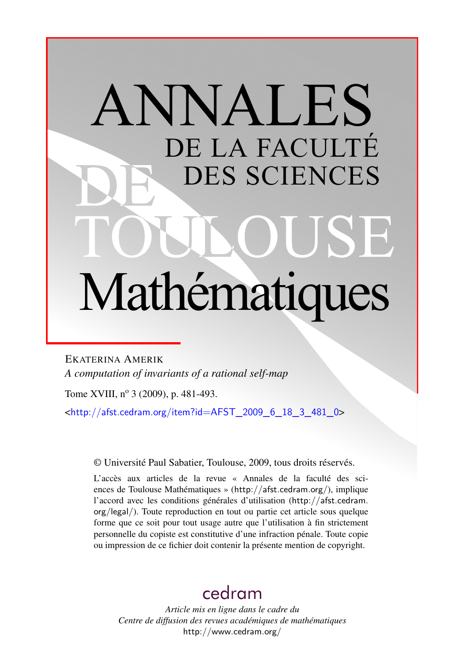# ANNALES DE LA FACULTÉ DES SCIENCES Mathématiques

EKATERINA AMERIK *A computation of invariants of a rational self-map*

Tome XVIII, nº 3 (2009), p. 481-493.

<[http://afst.cedram.org/item?id=AFST\\_2009\\_6\\_18\\_3\\_481\\_0](http://afst.cedram.org/item?id=AFST_2009_6_18_3_481_0)>

© Université Paul Sabatier, Toulouse, 2009, tous droits réservés.

L'accès aux articles de la revue « Annales de la faculté des sciences de Toulouse Mathématiques » (<http://afst.cedram.org/>), implique l'accord avec les conditions générales d'utilisation ([http://afst.cedram.](http://afst.cedram.org/legal/) [org/legal/](http://afst.cedram.org/legal/)). Toute reproduction en tout ou partie cet article sous quelque forme que ce soit pour tout usage autre que l'utilisation à fin strictement personnelle du copiste est constitutive d'une infraction pénale. Toute copie ou impression de ce fichier doit contenir la présente mention de copyright.

## [cedram](http://www.cedram.org/)

*Article mis en ligne dans le cadre du Centre de diffusion des revues académiques de mathématiques* <http://www.cedram.org/>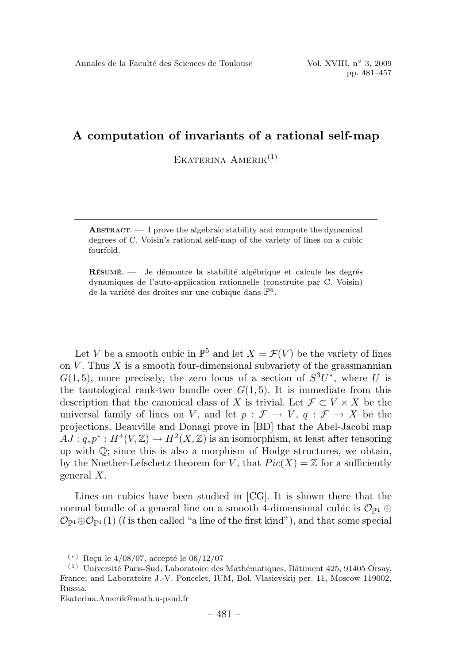EKATERINA  $A$ MERIK $^{(1)}$ 

**ABSTRACT.** — I prove the algebraic stability and compute the dynamical degrees of C. Voisin's rational self-map of the variety of lines on a cubic fourfold.

**R**ÉSUMÉ  $\equiv$  Je démontre la stabilité algébrique et calcule les degrés dynamiques de l'auto-application rationnelle (construite par C. Voisin) de la variété des droites sur une cubique dans  $\mathbb{P}^5$ .

Let V be a smooth cubic in  $\mathbb{P}^5$  and let  $X = \mathcal{F}(V)$  be the variety of lines on  $V$ . Thus  $X$  is a smooth four-dimensional subvariety of the grassmannian  $G(1, 5)$ , more precisely, the zero locus of a section of  $S^3U^*$ , where U is the tautological rank-two bundle over  $G(1,5)$ . It is immediate from this description that the canonical class of X is trivial. Let  $\mathcal{F} \subset V \times X$  be the universal family of lines on V, and let  $p : \mathcal{F} \to V$ ,  $q : \mathcal{F} \to X$  be the projections. Beauville and Donagi prove in [BD] that the Abel-Jacobi map  $AJ: q_*p^*: H^4(V, \mathbb{Z}) \to H^2(X, \mathbb{Z})$  is an isomorphism, at least after tensoring up with  $\mathbb{Q}$ ; since this is also a morphism of Hodge structures, we obtain, by the Noether-Lefschetz theorem for V, that  $Pic(X) = \mathbb{Z}$  for a sufficiently general X.

Lines on cubics have been studied in [CG]. It is shown there that the normal bundle of a general line on a smooth 4-dimensional cubic is  $\mathcal{O}_{\mathbb{P}^1} \oplus$  $\mathcal{O}_{\mathbb{P}^1}\oplus \mathcal{O}_{\mathbb{P}^1}(1)$  (*l* is then called "a line of the first kind"), and that some special

 $(*)$  Recu le 4/08/07, accepté le 06/12/07

 $(1)$  Université Paris-Sud, Laboratoire des Mathématiques, Bâtiment 425, 91405 Orsay, France; and Laboratoire J.-V. Poncelet, IUM, Bol. Vlasievskij per. 11, Moscow 119002, Russia.

Ekaterina.Amerik@math.u-psud.fr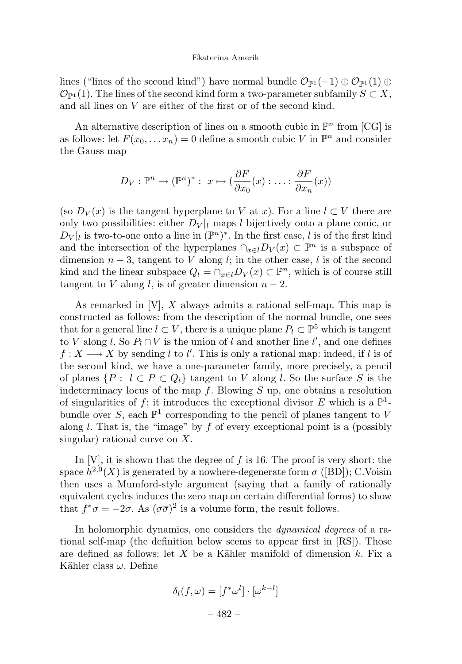lines ("lines of the second kind") have normal bundle  $\mathcal{O}_{\mathbb{P}^1}(-1) \oplus \mathcal{O}_{\mathbb{P}^1}(1) \oplus$  $\mathcal{O}_{\mathbb{P}^1}(1)$ . The lines of the second kind form a two-parameter subfamily  $S \subset X$ , and all lines on V are either of the first or of the second kind.

An alternative description of lines on a smooth cubic in  $\mathbb{P}^n$  from [CG] is as follows: let  $F(x_0,...x_n) = 0$  define a smooth cubic V in  $\mathbb{P}^n$  and consider the Gauss map

$$
D_V: \mathbb{P}^n \to (\mathbb{P}^n)^* : x \mapsto (\frac{\partial F}{\partial x_0}(x) : \dots : \frac{\partial F}{\partial x_n}(x))
$$

(so  $D_V(x)$  is the tangent hyperplane to V at x). For a line  $l \subset V$  there are only two possibilities: either  $D_V|_l$  maps l bijectively onto a plane conic, or  $D_V|_l$  is two-to-one onto a line in  $(\mathbb{P}^n)^*$ . In the first case, l is of the first kind and the intersection of the hyperplanes  $\cap_{x\in l}D_V(x)\subset \mathbb{P}^n$  is a subspace of dimension  $n-3$ , tangent to V along l; in the other case, l is of the second kind and the linear subspace  $Q_l = \bigcap_{x \in l} D_V(x) \subset \mathbb{P}^n$ , which is of course still tangent to V along l, is of greater dimension  $n-2$ .

As remarked in  $[V], X$  always admits a rational self-map. This map is constructed as follows: from the description of the normal bundle, one sees that for a general line  $l \subset V$ , there is a unique plane  $P_l \subset \mathbb{P}^5$  which is tangent to V along l. So  $P_l \cap V$  is the union of l and another line l', and one defines  $f: X \longrightarrow X$  by sending l to l'. This is only a rational map: indeed, if l is of the second kind, we have a one-parameter family, more precisely, a pencil of planes  $\{P : l \subset P \subset Q_l\}$  tangent to V along l. So the surface S is the indeterminacy locus of the map f. Blowing S up, one obtains a resolution of singularities of f; it introduces the exceptional divisor E which is a  $\mathbb{P}^1$ bundle over S, each  $\mathbb{P}^1$  corresponding to the pencil of planes tangent to V along  $l$ . That is, the "image" by  $f$  of every exceptional point is a (possibly singular) rational curve on  $X$ .

In  $|V|$ , it is shown that the degree of  $f$  is 16. The proof is very short: the space  $h^{2,0}(X)$  is generated by a nowhere-degenerate form  $\sigma$  ([BD]); C.Voisin then uses a Mumford-style argument (saying that a family of rationally equivalent cycles induces the zero map on certain differential forms) to show that  $f^*\sigma = -2\sigma$ . As  $(\sigma\overline{\sigma})^2$  is a volume form, the result follows.

In holomorphic dynamics, one considers the *dynamical degrees* of a rational self-map (the definition below seems to appear first in [RS]). Those are defined as follows: let X be a Kähler manifold of dimension  $k$ . Fix a Kähler class  $\omega$ . Define

$$
\delta_l(f, \omega) = [f^* \omega^l] \cdot [\omega^{k-l}]
$$

$$
- 482 -
$$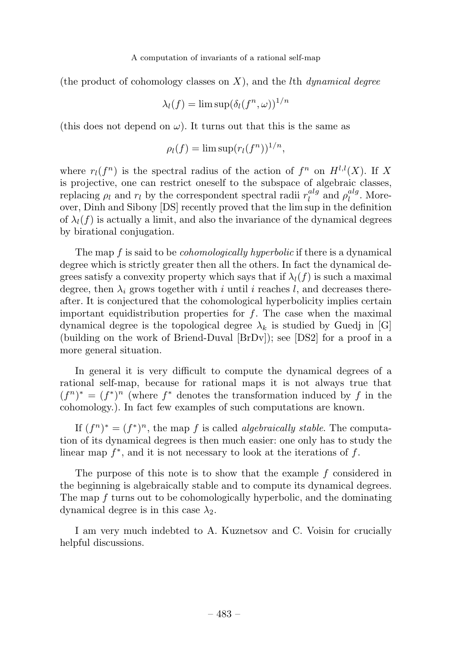(the product of cohomology classes on  $X$ ), and the lth *dynamical degree* 

$$
\lambda_l(f) = \limsup (\delta_l(f^n, \omega))^{1/n}
$$

(this does not depend on  $\omega$ ). It turns out that this is the same as

$$
\rho_l(f) = \limsup (r_l(f^n))^{1/n},
$$

where  $r_l(f^n)$  is the spectral radius of the action of  $f^n$  on  $H^{l,l}(X)$ . If X is projective, one can restrict oneself to the subspace of algebraic classes, replacing  $\rho_l$  and  $r_l$  by the correspondent spectral radii  $r_l^{alg}$  and  $\rho_l^{alg}$ . Moreover, Dinh and Sibony [DS] recently proved that the lim sup in the definition of  $\lambda_l(f)$  is actually a limit, and also the invariance of the dynamical degrees by birational conjugation.

The map  $f$  is said to be *cohomologically hyperbolic* if there is a dynamical degree which is strictly greater then all the others. In fact the dynamical degrees satisfy a convexity property which says that if  $\lambda_l(f)$  is such a maximal degree, then  $\lambda_i$  grows together with i until i reaches l, and decreases thereafter. It is conjectured that the cohomological hyperbolicity implies certain important equidistribution properties for  $f$ . The case when the maximal dynamical degree is the topological degree  $\lambda_k$  is studied by Guedj in [G] (building on the work of Briend-Duval [BrDv]); see [DS2] for a proof in a more general situation.

In general it is very difficult to compute the dynamical degrees of a rational self-map, because for rational maps it is not always true that  $(f^n)^* = (f^*)^n$  (where  $f^*$  denotes the transformation induced by f in the cohomology.). In fact few examples of such computations are known.

If  $(f^n)^* = (f^*)^n$ , the map f is called *algebraically stable*. The computation of its dynamical degrees is then much easier: one only has to study the linear map  $f^*$ , and it is not necessary to look at the iterations of f.

The purpose of this note is to show that the example  $f$  considered in the beginning is algebraically stable and to compute its dynamical degrees. The map  $f$  turns out to be cohomologically hyperbolic, and the dominating dynamical degree is in this case  $\lambda_2$ .

I am very much indebted to A. Kuznetsov and C. Voisin for crucially helpful discussions.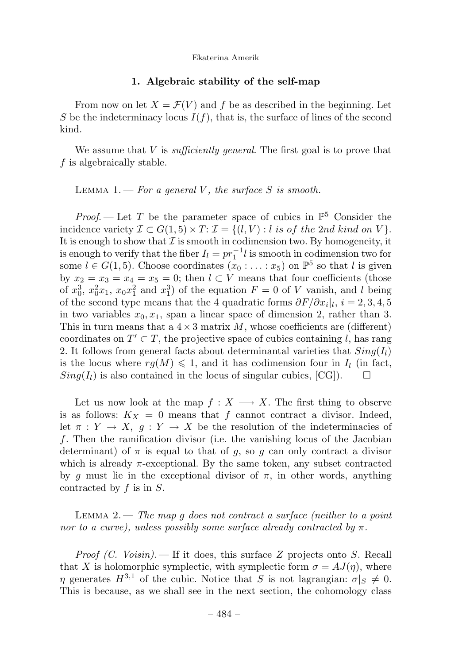#### **1. Algebraic stabilityof the self-map**

From now on let  $X = \mathcal{F}(V)$  and f be as described in the beginning. Let S be the indeterminacy locus  $I(f)$ , that is, the surface of lines of the second kind.

We assume that  $V$  is *sufficiently general*. The first goal is to prove that f is algebraically stable.

LEMMA 1.  $\rightarrow$  For a general V, the surface S is smooth.

*Proof.* — Let T be the parameter space of cubics in  $\mathbb{P}^5$  Consider the incidence variety  $\mathcal{I} \subset G(1,5) \times T: \mathcal{I} = \{(l,V) : l \text{ is of the } 2nd \text{ kind on } V\}.$ It is enough to show that  $\mathcal I$  is smooth in codimension two. By homogeneity, it is enough to verify that the fiber  $I_l = pr_1^{-1}l$  is smooth in codimension two for some  $l \in G(1, 5)$ . Choose coordinates  $(x_0 : \ldots : x_5)$  on  $\mathbb{P}^5$  so that l is given by  $x_2 = x_3 = x_4 = x_5 = 0$ ; then  $l \subset V$  means that four coefficients (those of  $x_0^3$ ,  $x_0^2x_1$ ,  $x_0x_1^2$  and  $x_1^3$ ) of the equation  $F = 0$  of V vanish, and l being of the second type means that the 4 quadratic forms  $\partial F/\partial x_i|_l$ ,  $i = 2, 3, 4, 5$ in two variables  $x_0, x_1$ , span a linear space of dimension 2, rather than 3. This in turn means that a  $4 \times 3$  matrix M, whose coefficients are (different) coordinates on  $T' \subset T$ , the projective space of cubics containing l, has rang 2. It follows from general facts about determinantal varieties that  $Sing(I_l)$ is the locus where  $rg(M) \leq 1$ , and it has codimension four in  $I_l$  (in fact,  $Sing(I_l)$  is also contained in the locus of singular cubics, [CG]).  $\Box$ 

Let us now look at the map  $f: X \longrightarrow X$ . The first thing to observe is as follows:  $K_X = 0$  means that f cannot contract a divisor. Indeed, let  $\pi: Y \to X$ ,  $g: Y \to X$  be the resolution of the indeterminacies of f. Then the ramification divisor (i.e. the vanishing locus of the Jacobian determinant) of  $\pi$  is equal to that of g, so g can only contract a divisor which is already  $\pi$ -exceptional. By the same token, any subset contracted by g must lie in the exceptional divisor of  $\pi$ , in other words, anything contracted by  $f$  is in  $S$ .

LEMMA 2.  $\frac{m}{2}$  The map q does not contract a surface (neither to a point nor to a curve), unless possibly some surface already contracted by  $\pi$ .

*Proof (C. Voisin).* — If it does, this surface Z projects onto S. Recall that X is holomorphic symplectic, with symplectic form  $\sigma = AJ(\eta)$ , where  $\eta$  generates  $H^{3,1}$  of the cubic. Notice that S is not lagrangian:  $\sigma|_S \neq 0$ . This is because, as we shall see in the next section, the cohomology class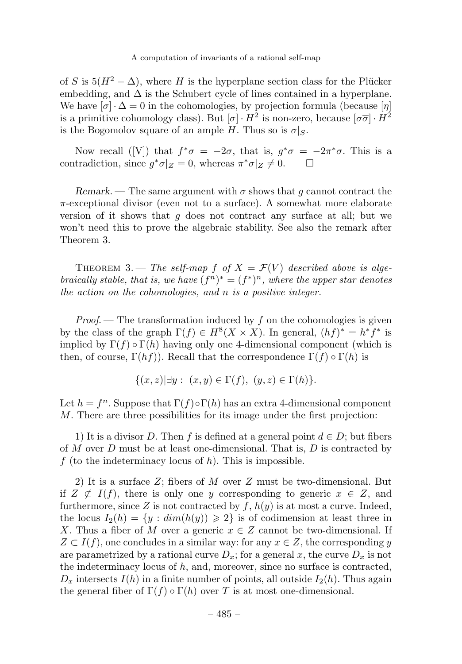of S is  $5(H^2 - \Delta)$ , where H is the hyperplane section class for the Plücker embedding, and  $\Delta$  is the Schubert cycle of lines contained in a hyperplane. We have  $[\sigma] \cdot \Delta = 0$  in the cohomologies, by projection formula (because  $[\eta]$ ) is a primitive cohomology class). But  $[\sigma] \cdot H^2$  is non-zero, because  $[\sigma \overline{\sigma}] \cdot H^2$ is the Bogomolov square of an ample H. Thus so is  $\sigma|_S$ .

Now recall ([V]) that  $f^*\sigma = -2\sigma$ , that is,  $g^*\sigma = -2\pi^*\sigma$ . This is a contradiction, since  $g^*\sigma|_Z = 0$ , whereas  $\pi^*\sigma|_Z \neq 0$ .  $\Box$ 

*Remark*. — The same argument with  $\sigma$  shows that q cannot contract the  $\pi$ -exceptional divisor (even not to a surface). A somewhat more elaborate version of it shows that  $q$  does not contract any surface at all; but we won't need this to prove the algebraic stability. See also the remark after Theorem 3.

THEOREM 3. — The self-map f of  $X = \mathcal{F}(V)$  described above is algebraically stable, that is, we have  $(f^n)^* = (f^*)^n$ , where the upper star denotes the action on the cohomologies, and n is a positive integer.

*Proof.* — The transformation induced by f on the cohomologies is given by the class of the graph  $\Gamma(f) \in H^8(X \times X)$ . In general,  $(hf)^* = h^*f^*$  is implied by  $\Gamma(f) \circ \Gamma(h)$  having only one 4-dimensional component (which is then, of course,  $\Gamma(hf)$ ). Recall that the correspondence  $\Gamma(f) \circ \Gamma(h)$  is

$$
\{(x, z)| \exists y : (x, y) \in \Gamma(f), (y, z) \in \Gamma(h) \}.
$$

Let  $h = f^n$ . Suppose that  $\Gamma(f) \circ \Gamma(h)$  has an extra 4-dimensional component M. There are three possibilities for its image under the first projection:

1) It is a divisor D. Then f is defined at a general point  $d \in D$ ; but fibers of M over D must be at least one-dimensional. That is,  $D$  is contracted by f (to the indeterminacy locus of  $h$ ). This is impossible.

2) It is a surface Z; fibers of M over Z must be two-dimensional. But if  $Z \not\subset I(f)$ , there is only one y corresponding to generic  $x \in Z$ , and furthermore, since Z is not contracted by  $f$ ,  $h(y)$  is at most a curve. Indeed, the locus  $I_2(h) = \{y : dim(h(y)) \geq 2\}$  is of codimension at least three in X. Thus a fiber of M over a generic  $x \in Z$  cannot be two-dimensional. If  $Z \subset I(f)$ , one concludes in a similar way: for any  $x \in Z$ , the corresponding y are parametrized by a rational curve  $D_x$ ; for a general x, the curve  $D_x$  is not the indeterminacy locus of h, and, moreover, since no surface is contracted,  $D_x$  intersects  $I(h)$  in a finite number of points, all outside  $I_2(h)$ . Thus again the general fiber of  $\Gamma(f) \circ \Gamma(h)$  over T is at most one-dimensional.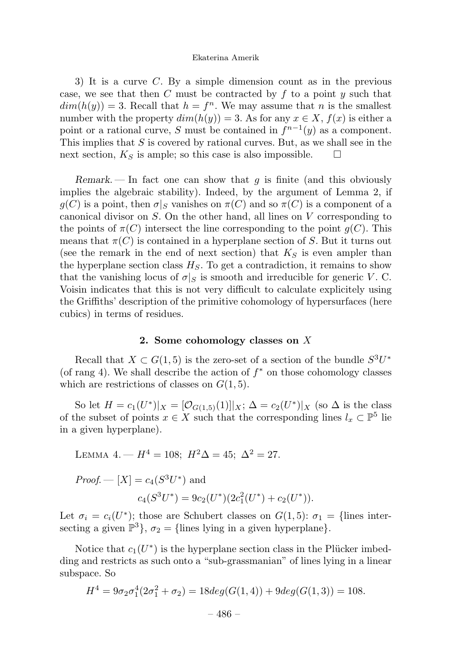3) It is a curve C. By a simple dimension count as in the previous case, we see that then C must be contracted by  $f$  to a point  $y$  such that  $dim(h(y)) = 3.$  Recall that  $h = f<sup>n</sup>$ . We may assume that n is the smallest number with the property  $dim(h(y)) = 3$ . As for any  $x \in X$ ,  $f(x)$  is either a point or a rational curve, S must be contained in  $f^{n-1}(y)$  as a component. This implies that  $S$  is covered by rational curves. But, as we shall see in the next section,  $K_S$  is ample; so this case is also impossible.  $\Box$ 

*Remark*. — In fact one can show that  $g$  is finite (and this obviously implies the algebraic stability). Indeed, by the argument of Lemma 2, if  $g(C)$  is a point, then  $\sigma|_S$  vanishes on  $\pi(C)$  and so  $\pi(C)$  is a component of a canonical divisor on S. On the other hand, all lines on V corresponding to the points of  $\pi(C)$  intersect the line corresponding to the point  $q(C)$ . This means that  $\pi(C)$  is contained in a hyperplane section of S. But it turns out (see the remark in the end of next section) that  $K_S$  is even ampler than the hyperplane section class  $H_S$ . To get a contradiction, it remains to show that the vanishing locus of  $\sigma|_S$  is smooth and irreducible for generic V.C. Voisin indicates that this is not very difficult to calculate explicitely using the Griffiths' description of the primitive cohomology of hypersurfaces (here cubics) in terms of residues.

#### 2. Some cohomology classes on X

Recall that  $X \subset G(1,5)$  is the zero-set of a section of the bundle  $S^3U^*$ (of rang 4). We shall describe the action of  $f^*$  on those cohomology classes which are restrictions of classes on  $G(1,5)$ .

So let  $H = c_1(U^*)|_X = [\mathcal{O}_{G(1,5)}(1)]|_X; \Delta = c_2(U^*)|_X$  (so  $\Delta$  is the class of the subset of points  $x \in X$  such that the corresponding lines  $l_x \subset \mathbb{P}^5$  lie in a given hyperplane).

LEMMA 4. — 
$$
H^4 = 108
$$
;  $H^2\Delta = 45$ ;  $\Delta^2 = 27$ .

*Proof.* — 
$$
[X] = c_4(S^3U^*)
$$
 and  

$$
c_4(S^3U^*) = 9c_2(U^*)(2c_1^2(U^*) + c_2(U^*)).
$$

Let  $\sigma_i = c_i(U^*)$ ; those are Schubert classes on  $G(1,5)$ :  $\sigma_1 =$ {lines intersecting a given  $\mathbb{P}^3$ ,  $\sigma_2 = \{\text{lines lying in a given hyperplane}\}.$ 

Notice that  $c_1(U^*)$  is the hyperplane section class in the Plücker imbedding and restricts as such onto a "sub-grassmanian" of lines lying in a linear subspace. So

$$
H4 = 9\sigma_2\sigma_1^4(2\sigma_1^2 + \sigma_2) = 18deg(G(1,4)) + 9deg(G(1,3)) = 108.
$$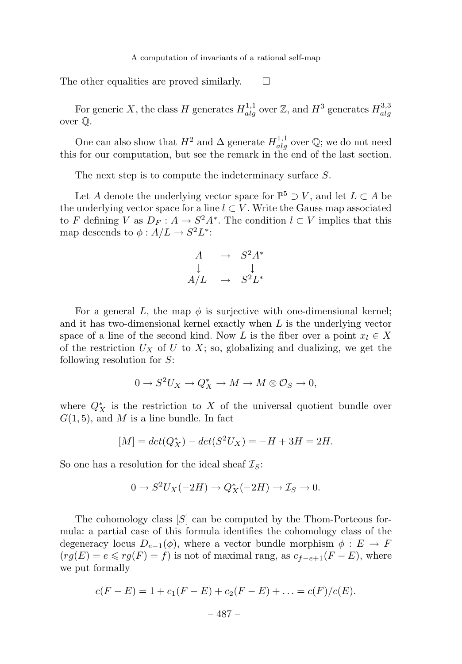The other equalities are proved similarly.  $\square$ 

For generic X, the class H generates  $H_{alg}^{1,1}$  over Z, and  $H^3$  generates  $H_{alg}^{3,3}$ over Q.

One can also show that  $H^2$  and  $\Delta$  generate  $H_{alg}^{1,1}$  over  $\mathbb{Q}$ ; we do not need this for our computation, but see the remark in the end of the last section.

The next step is to compute the indeterminacy surface S.

Let A denote the underlying vector space for  $\mathbb{P}^5 \supset V$ , and let  $L \subset A$  be the underlying vector space for a line  $l \subset V$ . Write the Gauss map associated to F defining V as  $D_F: A \to S^2 A^*$ . The condition  $l \subset V$  implies that this map descends to  $\phi: A/L \to S^2L^*$ :

$$
\begin{array}{ccc}\nA & \to & S^2 A^* \\
\downarrow & & \downarrow \\
A/L & \to & S^2 L^*\n\end{array}
$$

For a general L, the map  $\phi$  is surjective with one-dimensional kernel; and it has two-dimensional kernel exactly when  $L$  is the underlying vector space of a line of the second kind. Now L is the fiber over a point  $x_l \in X$ of the restriction  $U_X$  of U to X; so, globalizing and dualizing, we get the following resolution for  $S$ :

$$
0 \to S^2 U_X \to Q_X^* \to M \to M \otimes \mathcal{O}_S \to 0,
$$

where  $Q_X^*$  is the restriction to X of the universal quotient bundle over  $G(1, 5)$ , and M is a line bundle. In fact

$$
[M] = det(Q_X^*) - det(S^2 U_X) = -H + 3H = 2H.
$$

So one has a resolution for the ideal sheaf  $\mathcal{I}_S$ :

$$
0 \to S^2 U_X(-2H) \to Q_X^*(-2H) \to \mathcal{I}_S \to 0.
$$

The cohomology class  $[S]$  can be computed by the Thom-Porteous formula: a partial case of this formula identifies the cohomology class of the degeneracy locus  $D_{e-1}(\phi)$ , where a vector bundle morphism  $\phi : E \to F$  $(rg(E) = e \leq rg(F) = f)$  is not of maximal rang, as  $c_{f-e+1}(F-E)$ , where we put formally

$$
c(F - E) = 1 + c_1(F - E) + c_2(F - E) + \dots = c(F)/c(E).
$$
  
- 487 -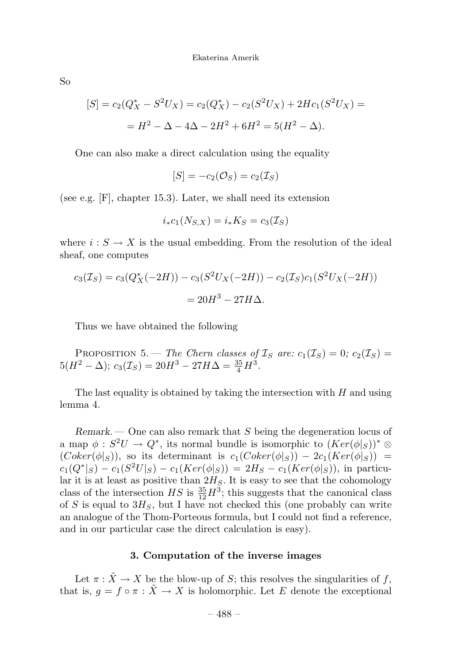So

$$
[S] = c_2(Q_X^* - S^2 U_X) = c_2(Q_X^*) - c_2(S^2 U_X) + 2Hc_1(S^2 U_X) =
$$
  
=  $H^2 - \Delta - 4\Delta - 2H^2 + 6H^2 = 5(H^2 - \Delta).$ 

One can also make a direct calculation using the equality

$$
[S] = -c_2(\mathcal{O}_S) = c_2(\mathcal{I}_S)
$$

(see e.g. [F], chapter 15.3). Later, we shall need its extension

$$
i_*c_1(N_{S,X})=i_*K_S=c_3(\mathcal{I}_S)
$$

where  $i : S \to X$  is the usual embedding. From the resolution of the ideal sheaf, one computes

$$
c_3(\mathcal{I}_S) = c_3(Q_X^*(-2H)) - c_3(S^2U_X(-2H)) - c_2(\mathcal{I}_S)c_1(S^2U_X(-2H))
$$
  
= 20H<sup>3</sup> - 27H $\Delta$ .

Thus we have obtained the following

PROPOSITION 5. — The Chern classes of  $\mathcal{I}_S$  are:  $c_1(\mathcal{I}_S)=0$ ;  $c_2(\mathcal{I}_S)=0$  $5(H^2 - \Delta); c_3(\mathcal{I}_S) = 20H^3 - 27H\Delta = \frac{35}{4}H^3.$ 

The last equality is obtained by taking the intersection with  $H$  and using lemma 4.

*Remark*. — One can also remark that S being the degeneration locus of a map  $\phi : S^2U \to Q^*$ , its normal bundle is isomorphic to  $(Ker(\phi|_S))^* \otimes$  $(Coker(\phi|_S))$ , so its determinant is  $c_1(Coker(\phi|_S)) - 2c_1(Ker(\phi|_S)) =$  $c_1(Q^*|_S) - c_1(S^2U|_S) - c_1(Ker(\phi|_S)) = 2H_S - c_1(Ker(\phi|_S)),$  in particular it is at least as positive than  $2H_S$ . It is easy to see that the cohomology class of the intersection  $HS$  is  $\frac{35}{12}H^3$ ; this suggests that the canonical class of S is equal to  $3H<sub>S</sub>$ , but I have not checked this (one probably can write an analogue of the Thom-Porteous formula, but I could not find a reference, and in our particular case the direct calculation is easy).

#### **3. Computation of the inverse images**

Let  $\pi : \tilde{X} \to X$  be the blow-up of S; this resolves the singularities of f, that is,  $g = f \circ \pi : \tilde{X} \to X$  is holomorphic. Let E denote the exceptional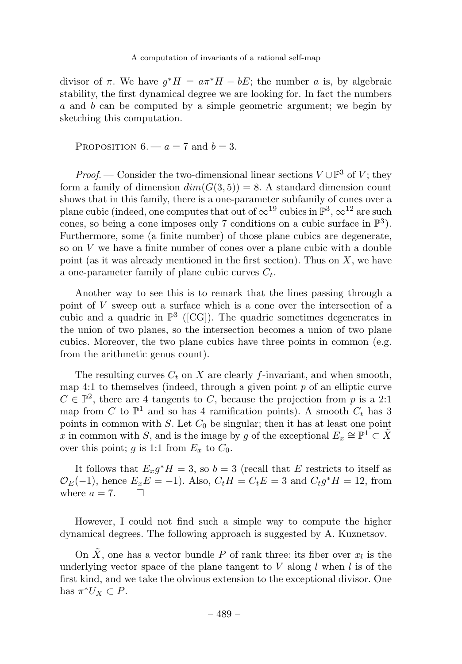divisor of  $\pi$ . We have  $g^*H = a\pi^*H - bE$ ; the number a is, by algebraic stability, the first dynamical degree we are looking for. In fact the numbers a and b can be computed by a simple geometric argument; we begin by sketching this computation.

PROPOSITION  $6 - a = 7$  and  $b = 3$ .

*Proof.* — Consider the two-dimensional linear sections  $V \cup \mathbb{P}^3$  of V; they form a family of dimension  $dim(G(3, 5)) = 8$ . A standard dimension count shows that in this family, there is a one-parameter subfamily of cones over a plane cubic (indeed, one computes that out of  $\infty^{19}$  cubics in  $\mathbb{P}^3$ ,  $\infty^{12}$  are such cones, so being a cone imposes only 7 conditions on a cubic surface in  $\mathbb{P}^3$ ). Furthermore, some (a finite number) of those plane cubics are degenerate, so on  $V$  we have a finite number of cones over a plane cubic with a double point (as it was already mentioned in the first section). Thus on  $X$ , we have a one-parameter family of plane cubic curves  $C_t$ .

Another way to see this is to remark that the lines passing through a point of V sweep out a surface which is a cone over the intersection of a cubic and a quadric in  $\mathbb{P}^3$  ([CG]). The quadric sometimes degenerates in the union of two planes, so the intersection becomes a union of two plane cubics. Moreover, the two plane cubics have three points in common (e.g. from the arithmetic genus count).

The resulting curves  $C_t$  on X are clearly f-invariant, and when smooth, map 4:1 to themselves (indeed, through a given point  $p$  of an elliptic curve  $C \in \mathbb{P}^2$ , there are 4 tangents to C, because the projection from p is a 2:1 map from C to  $\mathbb{P}^1$  and so has 4 ramification points). A smooth  $C_t$  has 3 points in common with S. Let  $C_0$  be singular; then it has at least one point x in common with S, and is the image by g of the exceptional  $E_x \cong \mathbb{P}^1 \subset \overline{X}$ over this point; g is 1:1 from  $E_x$  to  $C_0$ .

It follows that  $E_x g^* H = 3$ , so  $b = 3$  (recall that E restricts to itself as  $\mathcal{O}_E(-1)$ , hence  $E_xE = -1$ ). Also,  $C_tH = C_tE = 3$  and  $C_tg^*H = 12$ , from where  $a = 7$ .  $\Box$ 

However, I could not find such a simple way to compute the higher dynamical degrees. The following approach is suggested by A. Kuznetsov.

On  $\tilde{X}$ , one has a vector bundle P of rank three: its fiber over  $x_l$  is the underlying vector space of the plane tangent to V along  $l$  when l is of the first kind, and we take the obvious extension to the exceptional divisor. One has  $\pi^* U_X \subset P$ .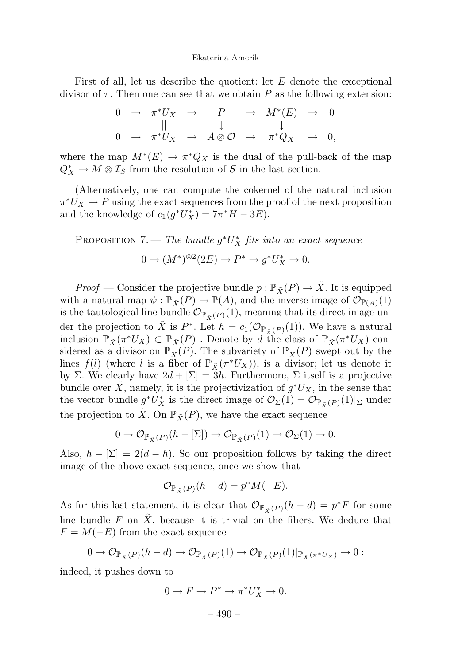First of all, let us describe the quotient: let  $E$  denote the exceptional divisor of  $\pi$ . Then one can see that we obtain P as the following extension:

$$
\begin{array}{ccccccc}\n0 & \rightarrow & \pi^* U_X & \rightarrow & P & \rightarrow & M^*(E) & \rightarrow & 0 \\
\parallel & & \downarrow & & \downarrow & & \downarrow \\
0 & \rightarrow & \pi^* U_X & \rightarrow & A \otimes \mathcal{O} & \rightarrow & \pi^* Q_X & \rightarrow & 0,\n\end{array}
$$

where the map  $M^*(E) \to \pi^*Q_X$  is the dual of the pull-back of the map  $Q_X^* \to M \otimes \mathcal{I}_S$  from the resolution of S in the last section.

(Alternatively, one can compute the cokernel of the natural inclusion  $\pi^*U_X \to P$  using the exact sequences from the proof of the next proposition and the knowledge of  $c_1(g^*U_X^*) = 7\pi^*H - 3E$ .

PROPOSITION 7. — The bundle  $g^*U_X^*$  fits into an exact sequence

$$
0 \to (M^*)^{\otimes 2}(2E) \to P^* \to g^*U_X^* \to 0.
$$

*Proof.* — Consider the projective bundle  $p : \mathbb{P}_{\tilde{X}}(P) \to \tilde{X}$ . It is equipped with a natural map  $\psi : \mathbb{P}_{\tilde{X}}(P) \to \mathbb{P}(A)$ , and the inverse image of  $\mathcal{O}_{\mathbb{P}(A)}(1)$ is the tautological line bundle  $\mathcal{O}_{\mathbb{P}_{\tilde{v}}(P)}(1)$ , meaning that its direct image under the projection to  $\tilde{X}$  is P<sup>∗</sup>. Let  $h = c_1(\mathcal{O}_{\mathbb{P}_{\tilde{Y}}(P)}(1))$ . We have a natural inclusion  $\mathbb{P}_{\tilde{X}}(\pi^*U_X) \subset \mathbb{P}_{\tilde{X}}(P)$ . Denote by d the class of  $\mathbb{P}_{\tilde{X}}(\pi^*U_X)$  considered as a divisor on  $\mathbb{P}_{\tilde{X}}(P)$ . The subvariety of  $\mathbb{P}_{\tilde{X}}(P)$  swept out by the lines  $f(l)$  (where l is a fiber of  $\mathbb{P}_{\tilde{X}}(\pi^*U_X)$ ), is a divisor; let us denote it by Σ. We clearly have  $2d + \lfloor \Sigma \rfloor = 3h$ . Furthermore, Σ itself is a projective bundle over X, namely, it is the projectivization of  $g^*U_X$ , in the sense that the vector bundle  $g^*U_X^*$  is the direct image of  $\mathcal{O}_{\Sigma}(1) = \mathcal{O}_{\mathbb{P}_{\tilde{X}}(P)}(1)|_{\Sigma}$  under the projection to  $\tilde{X}$ . On  $\mathbb{P}_{\tilde{X}}(P)$ , we have the exact sequence

$$
0 \to \mathcal{O}_{\mathbb{P}_{\tilde{X}}(P)}(h - [\Sigma]) \to \mathcal{O}_{\mathbb{P}_{\tilde{X}}(P)}(1) \to \mathcal{O}_{\Sigma}(1) \to 0.
$$

Also,  $h - \Sigma = 2(d - h)$ . So our proposition follows by taking the direct image of the above exact sequence, once we show that

$$
\mathcal{O}_{\mathbb{P}_{\tilde{X}}(P)}(h-d) = p^*M(-E).
$$

As for this last statement, it is clear that  $\mathcal{O}_{\mathbb{P}_{\tilde{v}}(P)}(h - d) = p^*F$  for some line bundle F on  $\tilde{X}$ , because it is trivial on the fibers. We deduce that  $F = M(-E)$  from the exact sequence

$$
0 \to \mathcal{O}_{\mathbb{P}_{\tilde{X}}(P)}(h-d) \to \mathcal{O}_{\mathbb{P}_{\tilde{X}}(P)}(1) \to \mathcal{O}_{\mathbb{P}_{\tilde{X}}(P)}(1)|_{\mathbb{P}_{\tilde{X}}(\pi^*U_X)} \to 0:
$$

indeed, it pushes down to

$$
0 \to F \to P^* \to \pi^* U_X^* \to 0.
$$

– 490 –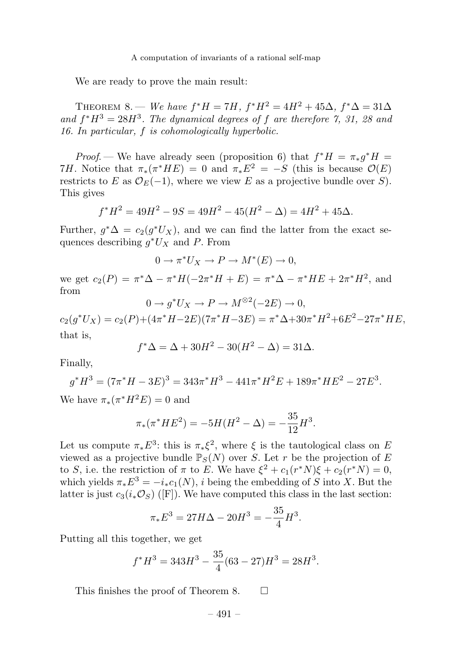We are ready to prove the main result:

THEOREM 8. — We have  $f^*H = 7H$ ,  $f^*H^2 = 4H^2 + 45\Delta$ ,  $f^*\Delta = 31\Delta$ and  $f^*H^3 = 28H^3$ . The dynamical degrees of f are therefore 7, 31, 28 and 16. In particular, f is cohomologically hyperbolic.

Proof. — We have already seen (proposition 6) that  $f^*H = \pi_* q^*H =$ 7H. Notice that  $\pi_*(\pi^* H E) = 0$  and  $\pi_* E^2 = -S$  (this is because  $\mathcal{O}(E)$ ) restricts to E as  $\mathcal{O}_E(-1)$ , where we view E as a projective bundle over S). This gives

$$
f^*H^2 = 49H^2 - 9S = 49H^2 - 45(H^2 - \Delta) = 4H^2 + 45\Delta.
$$

Further,  $g^*\Delta = c_2(g^*U_X)$ , and we can find the latter from the exact sequences describing  $q^*U_X$  and P. From

$$
0 \to \pi^* U_X \to P \to M^*(E) \to 0,
$$

we get  $c_2(P) = \pi^* \Delta - \pi^* H(-2\pi^* H + E) = \pi^* \Delta - \pi^* H E + 2\pi^* H^2$ , and from

$$
0 \to g^* U_X \to P \to M^{\otimes 2}(-2E) \to 0,
$$

 $c_2(q^*U_X) = c_2(P) + (4\pi^*H - 2E)(7\pi^*H - 3E) = \pi^* \Delta + 30\pi^*H^2 + 6E^2 - 27\pi^*HE$ that is,

$$
f^* \Delta = \Delta + 30H^2 - 30(H^2 - \Delta) = 31\Delta.
$$

Finally,

$$
g^*H^3 = (7\pi^*H - 3E)^3 = 343\pi^*H^3 - 441\pi^*H^2E + 189\pi^*HE^2 - 27E^3.
$$
  
We have  $\pi_*(\pi^*H^2E) = 0$  and

$$
\pi_*(\pi^* H E^2) = -5H(H^2 - \Delta) = -\frac{35}{12}H^3.
$$

Let us compute  $\pi_* E^3$ : this is  $\pi_* \xi^2$ , where  $\xi$  is the tautological class on E viewed as a projective bundle  $\mathbb{P}_S(N)$  over S. Let r be the projection of E to S, i.e. the restriction of  $\pi$  to E. We have  $\xi^2 + c_1(r^*N)\xi + c_2(r^*N) = 0$ , which yields  $\pi_* E^3 = -i_* c_1(N)$ , i being the embedding of S into X. But the latter is just  $c_3(i_*\mathcal{O}_S)$  ([F]). We have computed this class in the last section:

$$
\pi_* E^3 = 27H\Delta - 20H^3 = -\frac{35}{4}H^3.
$$

Putting all this together, we get

$$
f^*H^3 = 343H^3 - \frac{35}{4}(63 - 27)H^3 = 28H^3.
$$

This finishes the proof of Theorem 8.  $\Box$ 

$$
-491-
$$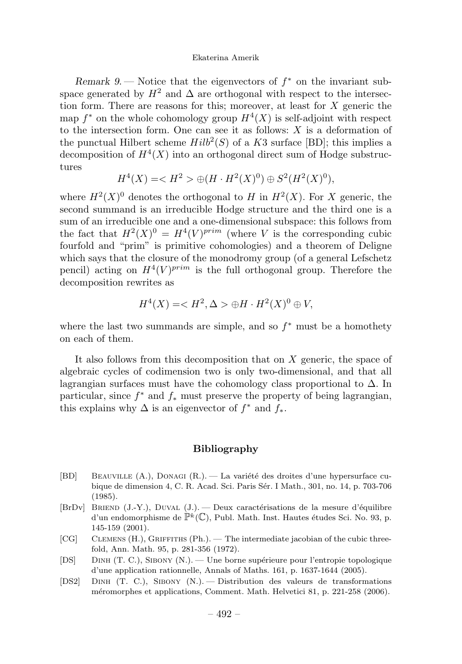*Remark 9.* — Notice that the eigenvectors of  $f^*$  on the invariant subspace generated by  $H^2$  and  $\Delta$  are orthogonal with respect to the intersection form. There are reasons for this; moreover, at least for  $X$  generic the map  $f^*$  on the whole cohomology group  $H^4(X)$  is self-adjoint with respect to the intersection form. One can see it as follows:  $X$  is a deformation of the punctual Hilbert scheme  $Hilb<sup>2</sup>(S)$  of a K3 surface [BD]; this implies a decomposition of  $H^4(X)$  into an orthogonal direct sum of Hodge substructures

$$
H^{4}(X) = \langle H^{2} \rangle \oplus (H \cdot H^{2}(X)^{0}) \oplus S^{2}(H^{2}(X)^{0}),
$$

where  $H^2(X)^0$  denotes the orthogonal to H in  $H^2(X)$ . For X generic, the second summand is an irreducible Hodge structure and the third one is a sum of an irreducible one and a one-dimensional subspace: this follows from the fact that  $H^2(X)^0 = H^4(V)^{prim}$  (where V is the corresponding cubic fourfold and "prim" is primitive cohomologies) and a theorem of Deligne which says that the closure of the monodromy group (of a general Lefschetz pencil) acting on  $H^4(V)^{prim}$  is the full orthogonal group. Therefore the decomposition rewrites as

$$
H^4(X) = \langle H^2, \Delta \rangle \oplus H \cdot H^2(X)^0 \oplus V,
$$

where the last two summands are simple, and so  $f^*$  must be a homothety on each of them.

It also follows from this decomposition that on  $X$  generic, the space of algebraic cycles of codimension two is only two-dimensional, and that all lagrangian surfaces must have the cohomology class proportional to  $\Delta$ . In particular, since  $f^*$  and  $f_*$  must preserve the property of being lagrangian, this explains why  $\Delta$  is an eigenvector of  $f^*$  and  $f_*$ .

#### **Bibliography**

- [BD] BEAUVILLE  $(A.)$ , DONAGI  $(R.)$ . La variété des droites d'une hypersurface cubique de dimension 4, C. R. Acad. Sci. Paris S´er. I Math., 301, no. 14, p. 703-706 (1985).
- [BrDv] BRIEND (J.-Y.), DUVAL (J.). Deux caractérisations de la mesure d'équilibre d'un endomorphisme de  $\mathbb{P}^k(\mathbb{C})$ , Publ. Math. Inst. Hautes études Sci. No. 93, p. 145-159 (2001).
- [CG] CLEMENS (H.), GRIFFITHS (Ph.). The intermediate jacobian of the cubic threefold, Ann. Math. 95, p. 281-356 (1972).
- [DS] DINH (T. C.), SIBONY (N.). Une borne supérieure pour l'entropie topologique d'une application rationnelle, Annals of Maths. 161, p. 1637-1644 (2005).
- [DS2] Dinh (T. C.), Sibony (N.). Distribution des valeurs de transformations m´eromorphes et applications, Comment. Math. Helvetici 81, p. 221-258 (2006).